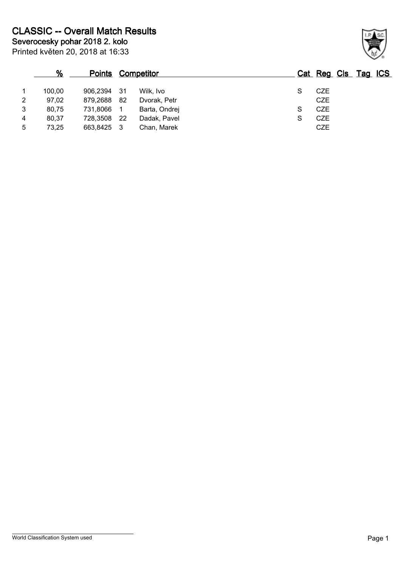|                | %      | <u>Points</u> |     | <b>Competitor</b> |   | Cat Reg Cls Tag ICS |  |
|----------------|--------|---------------|-----|-------------------|---|---------------------|--|
|                | 100,00 | 906,2394 31   |     | Wilk, Ivo         |   | <b>CZE</b>          |  |
| $\overline{2}$ | 97,02  | 879,2688      | -82 | Dvorak, Petr      |   | <b>CZE</b>          |  |
| 3              | 80,75  | 731,8066      |     | Barta, Ondrej     | S | CZE                 |  |
| 4              | 80,37  | 728,3508      | -22 | Dadak, Pavel      | S | <b>CZE</b>          |  |
| 5              | 73,25  | 663,8425      | - 3 | Chan, Marek       |   | <b>CZE</b>          |  |

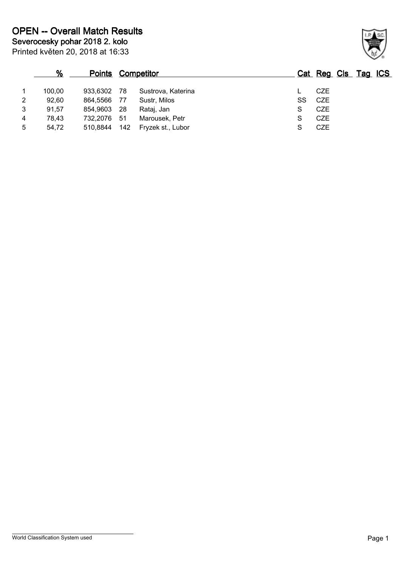|   | %      | <b>Points Competitor</b> |      |                    |    |            | Cat Reg Cls Tag ICS |  |
|---|--------|--------------------------|------|--------------------|----|------------|---------------------|--|
|   | 100,00 | 933.6302                 | - 78 | Sustrova, Katerina |    | CZE        |                     |  |
| 2 | 92.60  | 864,5566                 | - 77 | Sustr, Milos       | SS | CZE        |                     |  |
| 3 | 91,57  | 854,9603                 | -28  | Rataj, Jan         | S  | CZE        |                     |  |
| 4 | 78.43  | 732.2076                 | -51  | Marousek, Petr     | S  | <b>CZE</b> |                     |  |
| 5 | 54,72  | 510.8844                 | 142  | Fryzek st., Lubor  |    | <b>CZE</b> |                     |  |

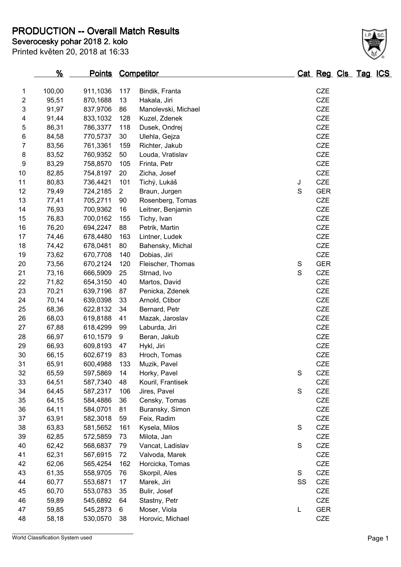**PRODUCTION -- Overall Match Results**

**Severocesky pohar 2018 2. kolo**

|  | Printed květen 20, 2018 at 16:33 |
|--|----------------------------------|
|--|----------------------------------|

|                         | <u>%</u> | <b>Points Competitor</b> |     |                     |               |    | <u>Cat Reg Cls Tag ICS</u> |  |  |
|-------------------------|----------|--------------------------|-----|---------------------|---------------|----|----------------------------|--|--|
| 1                       | 100,00   | 911,1036                 | 117 | Bindik, Franta      |               |    | <b>CZE</b>                 |  |  |
| $\overline{\mathbf{c}}$ | 95,51    | 870,1688                 | 13  | Hakala, Jiri        |               |    | <b>CZE</b>                 |  |  |
| 3                       | 91,97    | 837,9706                 | 86  | Manolevski, Michael |               |    | CZE                        |  |  |
|                         |          | 833,1032                 |     | Kuzel, Zdenek       |               |    | CZE                        |  |  |
| 4                       | 91,44    |                          | 128 |                     |               |    |                            |  |  |
| 5                       | 86,31    | 786,3377                 | 118 | Dusek, Ondrej       |               |    | <b>CZE</b>                 |  |  |
| $\,6$                   | 84,58    | 770,5737                 | 30  | Ulehla, Gejza       |               |    | <b>CZE</b>                 |  |  |
| 7                       | 83,56    | 761,3361                 | 159 | Richter, Jakub      |               |    | CZE                        |  |  |
| 8                       | 83,52    | 760,9352                 | 50  | Louda, Vratislav    |               |    | CZE                        |  |  |
| 9                       | 83,29    | 758,8570                 | 105 | Frinta, Petr        |               |    | CZE                        |  |  |
| 10                      | 82,85    | 754,8197                 | 20  | Zicha, Josef        |               |    | CZE                        |  |  |
| 11                      | 80,83    | 736,4421                 | 101 | Tichý, Lukáš        | J             |    | CZE                        |  |  |
| 12                      | 79,49    | 724,2185                 | 2   | Braun, Jurgen       | S             |    | <b>GER</b>                 |  |  |
| 13                      | 77,41    | 705,2711                 | 90  | Rosenberg, Tomas    |               |    | CZE                        |  |  |
| 14                      | 76,93    | 700,9362                 | 16  | Leitner, Benjamin   |               |    | CZE                        |  |  |
| 15                      | 76,83    | 700,0162                 | 155 | Tichy, Ivan         |               |    | <b>CZE</b>                 |  |  |
| 16                      | 76,20    | 694,2247                 | 88  | Petrik, Martin      |               |    | CZE                        |  |  |
| 17                      | 74,46    | 678,4480                 | 163 | Lintner, Ludek      |               |    | CZE                        |  |  |
| 18                      | 74,42    | 678,0481                 | 80  | Bahensky, Michal    |               |    | CZE                        |  |  |
| 19                      | 73,62    | 670,7708                 | 140 | Dobias, Jiri        |               |    | CZE                        |  |  |
| 20                      | 73,56    | 670,2124                 | 120 | Fleischer, Thomas   | $\mathbb S$   |    | <b>GER</b>                 |  |  |
| 21                      | 73,16    | 666,5909                 | 25  | Strnad, Ivo         | $\mathsf S$   |    | CZE                        |  |  |
| 22                      | 71,82    | 654,3150                 | 40  | Martos, David       |               |    | <b>CZE</b>                 |  |  |
| 23                      | 70,21    | 639,7196                 | 87  | Penicka, Zdenek     |               |    | <b>CZE</b>                 |  |  |
| 24                      | 70,14    | 639,0398                 | 33  | Arnold, Ctibor      |               |    | CZE                        |  |  |
| 25                      | 68,36    | 622,8132                 | 34  | Bernard, Petr       |               |    | <b>CZE</b>                 |  |  |
| 26                      | 68,03    | 619,8188                 | 41  | Mazak, Jaroslav     |               |    | CZE                        |  |  |
| 27                      | 67,88    | 618,4299                 | 99  | Laburda, Jiri       |               |    | CZE                        |  |  |
| 28                      | 66,97    | 610,1579                 | 9   | Beran, Jakub        |               |    | CZE                        |  |  |
| 29                      | 66,93    | 609,8193                 | 47  | Hykl, Jiri          |               |    | CZE                        |  |  |
| 30                      | 66,15    | 602,6719                 | 83  | Hroch, Tomas        |               |    | CZE                        |  |  |
| 31                      | 65,91    | 600,4988                 | 133 | Muzik, Pavel        |               |    | <b>CZE</b>                 |  |  |
| 32                      | 65,59    | 597,5869                 | 14  | Horky, Pavel        | S             |    | <b>CZE</b>                 |  |  |
| 33                      | 64,51    | 587,7340                 | 48  | Kouril, Frantisek   |               |    | <b>CZE</b>                 |  |  |
| 34                      | 64,45    | 587,2317                 | 106 | Jires, Pavel        | S             |    | CZE                        |  |  |
| 35                      | 64,15    | 584,4886                 | 36  | Censky, Tomas       |               |    | CZE                        |  |  |
| 36                      | 64,11    | 584,0701                 | 81  | Buransky, Simon     |               |    | CZE                        |  |  |
| 37                      | 63,91    | 582,3018                 | 59  | Feix, Radim         |               |    | CZE                        |  |  |
| 38                      | 63,83    | 581,5652                 | 161 | Kysela, Milos       | S             |    | CZE                        |  |  |
| 39                      | 62,85    | 572,5859                 | 73  | Milota, Jan         |               |    | CZE                        |  |  |
| 40                      | 62,42    | 568,6837                 | 79  | Vancat, Ladislav    | ${\mathsf S}$ |    | CZE                        |  |  |
| 41                      | 62,31    | 567,6915                 | 72  | Valvoda, Marek      |               |    | CZE                        |  |  |
| 42                      | 62,06    | 565,4254                 | 162 | Horcicka, Tomas     |               |    | <b>CZE</b>                 |  |  |
| 43                      | 61,35    | 558,9705                 | 76  | Skorpil, Ales       | S             |    | CZE                        |  |  |
| 44                      | 60,77    | 553,6871                 | 17  | Marek, Jiri         |               | SS | CZE                        |  |  |
| 45                      | 60,70    | 553,0783                 | 35  | Bulir, Josef        |               |    | CZE                        |  |  |
| 46                      | 59,89    | 545,6892                 | 64  | Stastny, Petr       |               |    | CZE                        |  |  |
| 47                      | 59,85    | 545,2873                 | 6   | Moser, Viola        | L             |    | <b>GER</b>                 |  |  |
| 48                      | 58,18    | 530,0570                 | 38  | Horovic, Michael    |               |    | CZE                        |  |  |
|                         |          |                          |     |                     |               |    |                            |  |  |

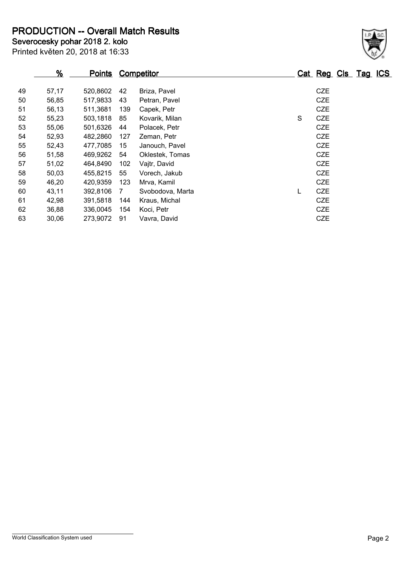**PRODUCTION -- Overall Match Results**

Printed květen 20, 2018 at 16:33 **Severocesky pohar 2018 2. kolo**

#### **% Points Competitor Cat Reg Cls Tag ICS** 57,17 520,8602 42 Briza, Pavel CZE 56,85 517,9833 43 Petran, Pavel CZE 56,13 511,3681 139 Capek, Petr CZE 52 55,23 503,1818 85 Kovarik, Milan State CZE 55,06 501,6326 44 Polacek, Petr CZE 52,93 482,2860 127 Zeman, Petr CZE 52,43 477,7085 15 Janouch, Pavel CZE 51,58 469,9262 54 Oklestek, Tomas CZE 51,02 464,8490 102 Vajtr, David CZE 50,03 455,8215 55 Vorech, Jakub CZE 46,20 420,9359 123 Mrva, Kamil CZE 43,11 392,8106 7 Svobodova, Marta L CZE 42,98 391,5818 144 Kraus, Michal CZE 36,88 336,0045 154 Koci, Petr CZE 30,06 273,9072 91 Vavra, David CZE

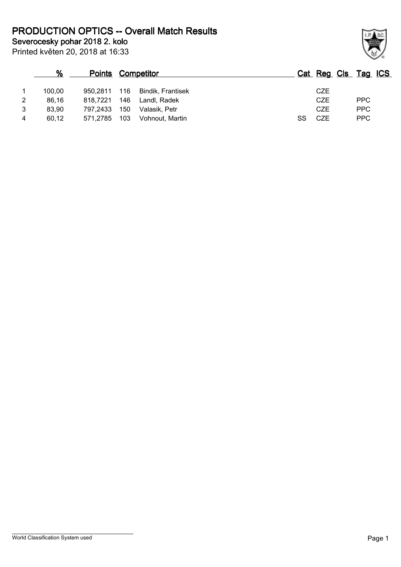**Severocesky pohar 2018 2. kolo PRODUCTION OPTICS -- Overall Match Results**

Printed květen 20, 2018 at 16:33

### **% Points Competitor Cat Reg Cls Tag ICS** 1 100,00 950,2811 116 Bindik, Frantisek CZE 2 86,16 818,7221 146 Landl, Radek CZE PPC 3 83,90 797,2433 150 Valasik, Petr CZE PPC 4 60,12 571,2785 103 Vohnout, Martin SS CZE PPC

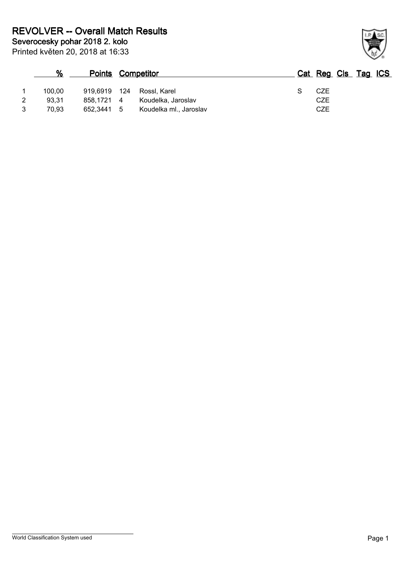|   | %      | <b>Points Competitor</b> |                        |  | Cat Reg Cls Tag ICS |  |  |
|---|--------|--------------------------|------------------------|--|---------------------|--|--|
|   | 100,00 | 919,6919 124             | Rossl. Karel           |  | CZE                 |  |  |
| 2 | 93.31  | 858.1721 4               | Koudelka, Jaroslav     |  | CZE                 |  |  |
| 3 | 70.93  | 652,3441 5               | Koudelka ml., Jaroslav |  | CZE                 |  |  |

World Classification System used **Page 1** 

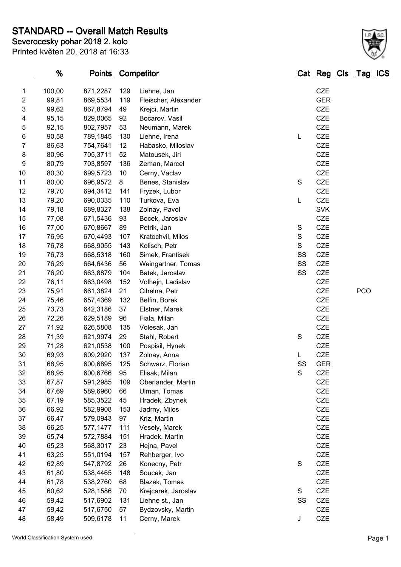**STANDARD -- Overall Match Results**

Printed květen 20, 2018 at 16:33 **Severocesky pohar 2018 2. kolo**

|    | $\frac{9}{6}$ | <b>Points</b> |     | <b>Competitor</b>    |               | Cat Reg Cls Tag ICS |            |  |
|----|---------------|---------------|-----|----------------------|---------------|---------------------|------------|--|
| 1  | 100,00        | 871,2287      | 129 | Liehne, Jan          |               | <b>CZE</b>          |            |  |
| 2  | 99,81         | 869,5534      | 119 | Fleischer, Alexander |               | <b>GER</b>          |            |  |
| 3  | 99,62         | 867,8794      | 49  | Krejci, Martin       |               | CZE                 |            |  |
| 4  | 95,15         | 829,0065      | 92  | Bocarov, Vasil       |               | CZE                 |            |  |
| 5  | 92,15         | 802,7957      | 53  | Neumann, Marek       |               | CZE                 |            |  |
| 6  | 90,58         | 789,1845      | 130 | Liehne, Irena        | L             | CZE                 |            |  |
| 7  | 86,63         | 754,7641      | 12  | Habasko, Miloslav    |               | <b>CZE</b>          |            |  |
| 8  | 80,96         | 705,3711      | 52  | Matousek, Jiri       |               | <b>CZE</b>          |            |  |
| 9  | 80,79         | 703,8597      | 136 | Zeman, Marcel        |               | <b>CZE</b>          |            |  |
| 10 | 80,30         | 699,5723      | 10  | Cerny, Vaclav        |               | CZE                 |            |  |
| 11 | 80,00         | 696,9572      | 8   | Benes, Stanislav     | $\mathbf S$   | <b>CZE</b>          |            |  |
| 12 | 79,70         | 694,3412      | 141 | Fryzek, Lubor        |               | CZE                 |            |  |
| 13 | 79,20         | 690,0335      | 110 | Turkova, Eva         | L             | CZE                 |            |  |
| 14 | 79,18         | 689,8327      | 138 | Zolnay, Pavol        |               | <b>SVK</b>          |            |  |
| 15 | 77,08         | 671,5436      | 93  | Bocek, Jaroslav      |               | <b>CZE</b>          |            |  |
| 16 | 77,00         | 670,8667      | 89  | Petrik, Jan          | S             | CZE                 |            |  |
| 17 | 76,95         | 670,4493      | 107 | Kratochvil, Milos    | $\mathbf S$   | CZE                 |            |  |
| 18 | 76,78         | 668,9055      | 143 | Kolisch, Petr        | S             | CZE                 |            |  |
| 19 | 76,73         | 668,5318      | 160 | Simek, Frantisek     | SS            | CZE                 |            |  |
| 20 | 76,29         | 664,6436      | 56  | Weingartner, Tomas   | SS            | CZE                 |            |  |
| 21 | 76,20         | 663,8879      | 104 | Batek, Jaroslav      | SS            | CZE                 |            |  |
| 22 | 76,11         | 663,0498      | 152 | Volhejn, Ladislav    |               | <b>CZE</b>          |            |  |
| 23 | 75,91         | 661,3824      | 21  | Cihelna, Petr        |               | CZE                 | <b>PCO</b> |  |
| 24 | 75,46         | 657,4369      | 132 | Belfin, Borek        |               | CZE                 |            |  |
| 25 | 73,73         | 642,3186      | 37  | Elstner, Marek       |               | CZE                 |            |  |
| 26 | 72,26         | 629,5189      | 96  | Fiala, Milan         |               | <b>CZE</b>          |            |  |
| 27 | 71,92         | 626,5808      | 135 | Volesak, Jan         |               | <b>CZE</b>          |            |  |
| 28 | 71,39         | 621,9974      | 29  | Stahl, Robert        | $\mathbf S$   | CZE                 |            |  |
| 29 | 71,28         | 621,0538      | 100 | Pospisil, Hynek      |               | <b>CZE</b>          |            |  |
| 30 | 69,93         | 609,2920      | 137 | Zolnay, Anna         | L             | CZE                 |            |  |
| 31 | 68,95         | 600,6895      | 125 | Schwarz, Florian     | SS            | <b>GER</b>          |            |  |
| 32 | 68,95         | 600,6766      | 95  | Elisak, Milan        | ${\mathsf S}$ | <b>CZE</b>          |            |  |
| 33 | 67,87         | 591,2985      | 109 | Oberlander, Martin   |               | CZE                 |            |  |
| 34 | 67,69         | 589,6960      | 66  | Ulman, Tomas         |               | CZE                 |            |  |
| 35 | 67,19         | 585,3522      | 45  | Hradek, Zbynek       |               | CZE                 |            |  |
| 36 | 66,92         | 582,9908      | 153 | Jadrny, Milos        |               | CZE                 |            |  |
| 37 | 66,47         | 579,0943      | 97  | Kriz, Martin         |               | CZE                 |            |  |
| 38 | 66,25         | 577,1477      | 111 | Vesely, Marek        |               | CZE                 |            |  |
| 39 | 65,74         | 572,7884      | 151 | Hradek, Martin       |               | CZE                 |            |  |
| 40 | 65,23         | 568,3017      | 23  | Hejna, Pavel         |               | <b>CZE</b>          |            |  |
| 41 | 63,25         | 551,0194      | 157 | Rehberger, Ivo       |               | CZE                 |            |  |
| 42 | 62,89         | 547,8792      | 26  | Konecny, Petr        | $\mathbf S$   | CZE                 |            |  |
| 43 | 61,80         | 538,4465      | 148 | Soucek, Jan          |               | CZE                 |            |  |
| 44 | 61,78         | 538,2760      | 68  | Blazek, Tomas        |               | CZE                 |            |  |
| 45 | 60,62         | 528,1586      | 70  | Krejcarek, Jaroslav  | ${\mathsf S}$ | CZE                 |            |  |
| 46 | 59,42         | 517,6902      | 131 | Liehne st., Jan      | SS            | CZE                 |            |  |
| 47 | 59,42         | 517,6750      | 57  | Bydzovsky, Martin    |               | CZE                 |            |  |

58,49 509,6178 11 Cerny, Marek J CZE

World Classification System used **Page 1** 

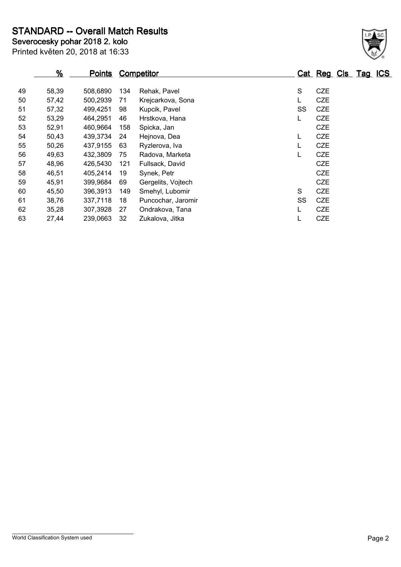**STANDARD -- Overall Match Results**

| Severocesky pohar 2018 2. kolo   |  |
|----------------------------------|--|
| Printed květen 20, 2018 at 16:33 |  |

#### **% Points Competitor Cat Reg Cls Tag ICS** 58,39 508,6890 134 Rehak, Pavel S CZE 57,42 500,2939 71 Krejcarkova, Sona L CZE 51 57,32 499,4251 98 Kupcik, Pavel SS CZE 53,29 464,2951 46 Hrstkova, Hana L CZE 52,91 460,9664 158 Spicka, Jan CZE 50,43 439,3734 24 Hejnova, Dea L CZE 50,26 437,9155 63 Ryzlerova, Iva L CZE 49,63 432,3809 75 Radova, Marketa L CZE 48,96 426,5430 121 Fullsack, David CZE 46,51 405,2414 19 Synek, Petr CZE 45,91 399,9684 69 Gergelits, Vojtech CZE 45,50 396,3913 149 Smehyl, Lubomir S CZE 61 38,76 337,7118 18 Puncochar, Jaromir SS CZE 35,28 307,3928 27 Ondrakova, Tana L CZE 27,44 239,0663 32 Zukalova, Jitka L CZE